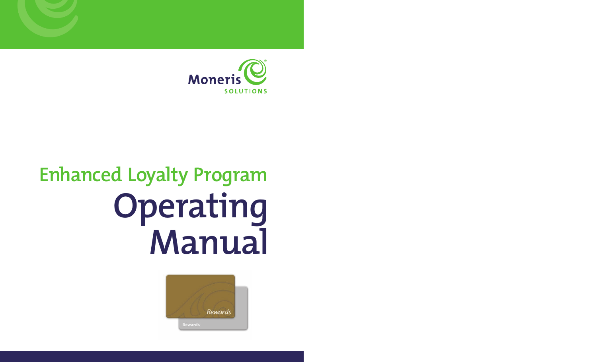

# **Enhanced Loyalty Program Operating Manual**

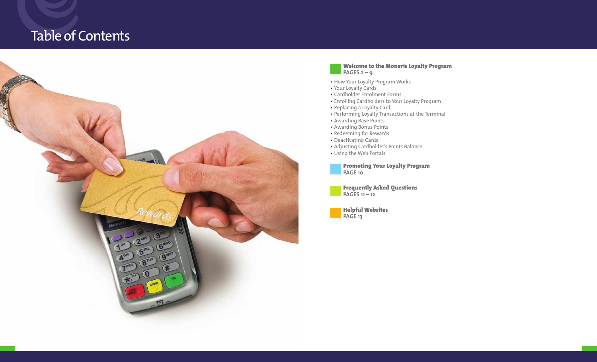# Table of Contents



#### **Welcome to the Moneris Loyalty Program PAGES 2 – 9**

- 
- 
- 
- How Your Loyalty Program Works Your Loyalty Cards Cardholder Enrolment Forms Enrolling Cardholders to Your Loyalty Program Replacing a Loyalty Card
- 
- Performing Loyalty Transactions at the Terminal Awarding Base Points
- 
- Awarding Bonus Points
- Redeeming for Rewards
- Deactivating Cards
- Adjusting Cardholder's Points Balance
- Using the Web Portals

**Promoting Your Loyalty Program PAGE 10**



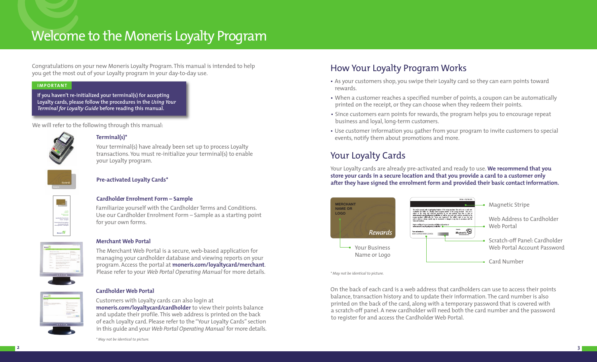# Welcome to the Moneris Loyalty Program

Congratulations on your new Moneris Loyalty Program. This manual is intended to help you get the most out of your Loyalty program in your day-to-day use.

#### **IMPORTANT**

**If you haven't re-initialized your terminal(s) for accepting Loyalty cards, please follow the procedures in the** *Using Your Terminal for Loyalty Guide* **before reading this manual.** 

We will refer to the following through this manual:



#### **Terminal(s)\***

Your terminal(s) have already been set up to process Loyalty transactions. You must re-initialize your terminal(s) to enable your Loyalty program.

## **Pre-activated Loyalty Cards\***

## **Cardholder Enrolment Form – Sample**

Familiarize yourself with the Cardholder Terms and Conditions. Use our Cardholder Enrolment Form – Sample as a starting point **LOGO** for your own forms.

Program<br>6 Rogramme<br>1930 Roll Fusilisation Eardholder Enrolment<br>Form – Sample Formulaire d'Inscription au programme de récompenses - exemple

 $\overline{\mathbb{Q}}$  instead

## **Merchant Web Portal**

The Merchant Web Portal is a secure, web-based application for managing your cardholder database and viewing reports on your program. Access the portal at **moneris.com/loyaltycard/merchant**. Please refer to your *Web Portal Operating Manual* for more details.

#### **Cardholder Web Portal**

Customers with Loyalty cards can also login at **moneris.com/loyaltycard/cardholder** to view their points balance and update their profile. This web address is printed on the back of each Loyalty card. Please refer to the "Your Loyalty Cards" section in this guide and your *Web Portal Operating Manual* for more details.

*\* May not be identical to picture.* 

# How Your Loyalty Program Works

- As your customers shop, you swipe their Loyalty card so they can earn points toward rewards.
- When a customer reaches a specified number of points, a coupon can be automatically printed on the receipt, or they can choose when they redeem their points.
- Since customers earn points for rewards, the program helps you to encourage repeat business and loyal, long-term customers.
- Use customer information you gather from your program to invite customers to special events, notify them about promotions and more.

# Your Loyalty Cards

Your Loyalty cards are already pre-activated and ready to use. **We recommend that you store your cards in a secure location and that you provide a card to a customer only after they have signed the enrolment form and provided their basic contact information.** 



*\* May not be identical to picture.*

On the back of each card is a web address that cardholders can use to access their points balance, transaction history and to update their information. The card number is also printed on the back of the card, along with a temporary password that is covered with a scratch-off panel. A new cardholder will need both the card number and the password to register for and access the Cardholder Web Portal.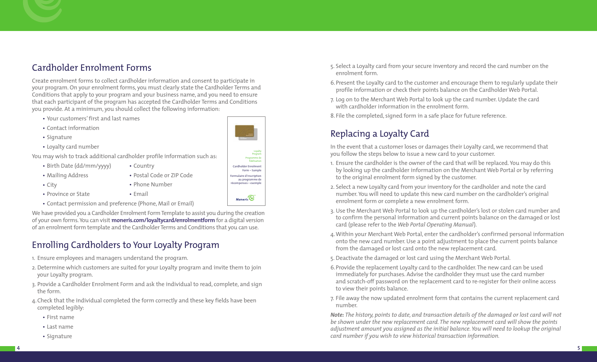# Cardholder Enrolment Forms

Create enrolment forms to collect cardholder information and consent to participate in your program. On your enrolment forms, you must clearly state the Cardholder Terms and Conditions that apply to your program and your business name, and you need to ensure that each participant of the program has accepted the Cardholder Terms and Conditions you provide. At a minimum, you should collect the following information:

- Your customers' first and last names
- Contact information
- Signature
- Loyalty card number

You may wish to track additional cardholder profile information such as:

- Birth Date (dd/mm/yyyy)
- Mailing Address
- City
- Phone Number
- Province or State
- Contact permission and preference (Phone, Mail or Email)

We have provided you a Cardholder Enrolment Form Template to assist you during the creation of your own forms. You can visit **moneris.com/loyaltycard/enrolmentform** for a digital version of an enrolment form template and the Cardholder Terms and Conditions that you can use.

• Country

• Email

• Postal Code or ZIP Code

# Enrolling Cardholders to Your Loyalty Program

- 1. Ensure employees and managers understand the program.
- 2. Determine which customers are suited for your Loyalty program and invite them to join your Loyalty program.
- 3. Provide a Cardholder Enrolment Form and ask the individual to read, complete, and sign the form.
- 4.Check that the individual completed the form correctly and these key fields have been completed legibly:
	- First name
	- Last name
	- Signature
- 5. Select a Loyalty card from your secure inventory and record the card number on the enrolment form.
- 6.Present the Loyalty card to the customer and encourage them to regularly update their profile information or check their points balance on the Cardholder Web Portal.
- 7. Log on to the Merchant Web Portal to look up the card number. Update the card with cardholder information in the enrolment form.
- 8. File the completed, signed form in a safe place for future reference.

# Replacing a Loyalty Card

In the event that a customer loses or damages their Loyalty card, we recommend that you follow the steps below to issue a new card to your customer.

- 1. Ensure the cardholder is the owner of the card that will be replaced. You may do this by looking up the cardholder information on the Merchant Web Portal or by referring to the original enrolment form signed by the customer.
- 2. Select a new Loyalty card from your inventory for the cardholder and note the card number. You will need to update this new card number on the cardholder's original enrolment form or complete a new enrolment form.
- 3. Use the Merchant Web Portal to look up the cardholder's lost or stolen card number and to confirm the personal information and current points balance on the damaged or lost card (please refer to the *Web Portal Operating Manual*).
- 4.Within your Merchant Web Portal, enter the cardholder's confirmed personal information onto the new card number. Use a point adjustment to place the current points balance from the damaged or lost card onto the new replacement card.
- 5. Deactivate the damaged or lost card using the Merchant Web Portal.
- 6.Provide the replacement Loyalty card to the cardholder. The new card can be used immediately for purchases. Advise the cardholder they must use the card number and scratch-off password on the replacement card to re-register for their online access to view their points balance.
- 7. File away the now updated enrolment form that contains the current replacement card number.

*Note: The history, points to date, and transaction details of the damaged or lost card will not be shown under the new replacement card. The new replacement card will show the points adjustment amount you assigned as the initial balance. You will need to lookup the original card number if you wish to view historical transaction information.* 

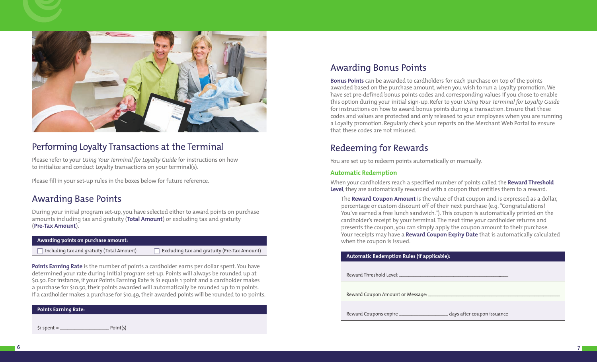

# Performing Loyalty Transactions at the Terminal

Please refer to your *Using Your Terminal for Loyalty Guide* for instructions on how to initialize and conduct Loyalty transactions on your terminal(s).

Please fill in your set-up rules in the boxes below for future reference.

# Awarding Base Points

During your initial program set-up, you have selected either to award points on purchase amounts including tax and gratuity (**Total Amount**) or excluding tax and gratuity (**Pre-Tax Amount**).

#### **Awarding points on purchase amount:**

 $\Box$  Including tax and gratuity (Total Amount)

 $\Box$  Excluding tax and gratuity (Pre-Tax Amount)

**Points Earning Rate** is the number of points a cardholder earns per dollar spent. You have determined your rate during initial program set-up. Points will always be rounded up at \$0.50. For instance, if your Points Earning Rate is \$1 equals 1 point and a cardholder makes a purchase for \$10.50, their points awarded will automatically be rounded up to 11 points. If a cardholder makes a purchase for \$10.49, their awarded points will be rounded to 10 points.

# Awarding Bonus Points

**Bonus Points** can be awarded to cardholders for each purchase on top of the points awarded based on the purchase amount, when you wish to run a Loyalty promotion. We have set pre-defined bonus points codes and corresponding values if you chose to enable this option during your initial sign-up. Refer to your *Using Your Terminal for Loyalty Guide* for instructions on how to award bonus points during a transaction. Ensure that these codes and values are protected and only released to your employees when you are running a Loyalty promotion. Regularly check your reports on the Merchant Web Portal to ensure that these codes are not misused.

# Redeeming for Rewards

You are set up to redeem points automatically or manually.

# **Automatic Redemption**

When your cardholders reach a specified number of points called the **Reward Threshold Level**, they are automatically rewarded with a coupon that entitles them to a reward.

The **Reward Coupon Amount** is the value of that coupon and is expressed as a dollar, percentage or custom discount off of their next purchase (e.g. "Congratulations! You've earned a free lunch sandwich."). This coupon is automatically printed on the cardholder's receipt by your terminal. The next time your cardholder returns and presents the coupon, you can simply apply the coupon amount to their purchase. Your receipts may have a **Reward Coupon Expiry Date** that is automatically calculated when the coupon is issued.

#### **Automatic Redemption Rules (if applicable):**

Reward Threshold Level:

Reward Coupon Amount or Message: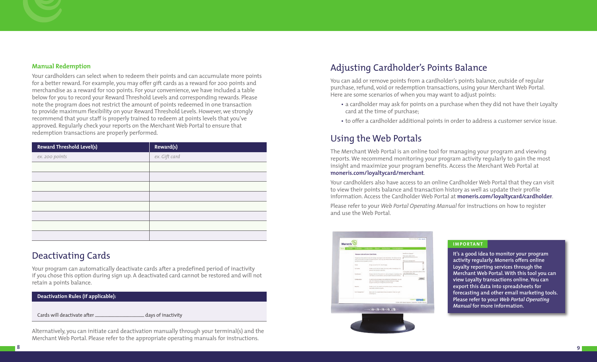#### **Manual Redemption**

Your cardholders can select when to redeem their points and can accumulate more points for a better reward. For example, you may offer gift cards as a reward for 200 points and merchandise as a reward for 100 points. For your convenience, we have included a table below for you to record your Reward Threshold Levels and corresponding rewards. Please note the program does not restrict the amount of points redeemed in one transaction to provide maximum flexibility on your Reward Threshold Levels. However, we strongly recommend that your staff is properly trained to redeem at points levels that you've approved. Regularly check your reports on the Merchant Web Portal to ensure that redemption transactions are properly performed.

| Reward(s)     |
|---------------|
| ex. Gift card |
|               |
|               |
|               |
|               |
|               |
|               |
|               |
|               |
|               |

# Deactivating Cards

Your program can automatically deactivate cards after a predefined period of inactivity if you chose this option during sign up. A deactivated card cannot be restored and will not retain a points balance.



Alternatively, you can initiate card deactivation manually through your terminal(s) and the Merchant Web Portal. Please refer to the appropriate operating manuals for instructions.

# Adjusting Cardholder's Points Balance

You can add or remove points from a cardholder's points balance, outside of regular purchase, refund, void or redemption transactions, using your Merchant Web Portal. Here are some scenarios of when you may want to adjust points:

- a cardholder may ask for points on a purchase when they did not have their Loyalty card at the time of purchase;
- to offer a cardholder additional points in order to address a customer service issue.

# Using the Web Portals

The Merchant Web Portal is an online tool for managing your program and viewing reports. We recommend monitoring your program activity regularly to gain the most insight and maximize your program benefits. Access the Merchant Web Portal at **moneris.com/loyaltycard/merchant**.

Your cardholders also have access to an online Cardholder Web Portal that they can visit to view their points balance and transaction history as well as update their profile information. Access the Cardholder Web Portal at **moneris.com/loyaltycard/cardholder**.

Please refer to your *Web Portal Operating Manual* for instructions on how to register and use the Web Portal.



#### **IMPORTANT**

**It's a good idea to monitor your program activity regularly. Moneris offers online Loyalty reporting services through the Merchant Web Portal. With this tool you can view Loyalty transactions online. You can export this data into spreadsheets for forecasting and other email marketing tools. Please refer to your** *Web Portal Operating Manual* **for more information.**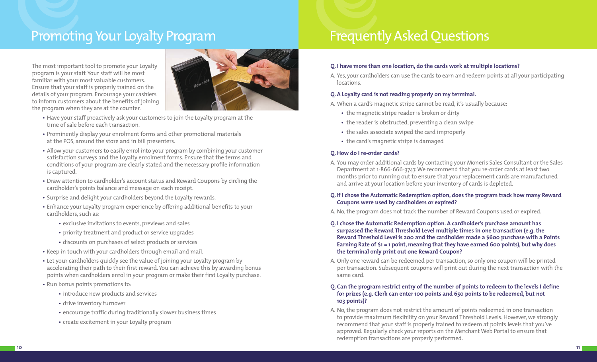# Promoting Your Loyalty Program Frequently Asked Questions

The most important tool to promote your Loyalty program is your staff. Your staff will be most familiar with your most valuable customers. Ensure that your staff is properly trained on the details of your program. Encourage your cashiers to inform customers about the benefits of joining the program when they are at the counter.



- Have your staff proactively ask your customers to join the Loyalty program at the time of sale before each transaction.
- Prominently display your enrolment forms and other promotional materials at the POS, around the store and in bill presenters.
- Allow your customers to easily enrol into your program by combining your customer satisfaction surveys and the Loyalty enrolment forms. Ensure that the terms and conditions of your program are clearly stated and the necessary profile information is captured.
- Draw attention to cardholder's account status and Reward Coupons by circling the cardholder's points balance and message on each receipt.
- Surprise and delight your cardholders beyond the Loyalty rewards.
- Enhance your Loyalty program experience by offering additional benefits to your cardholders, such as:
	- exclusive invitations to events, previews and sales
	- priority treatment and product or service upgrades
	- discounts on purchases of select products or services
- Keep in touch with your cardholders through email and mail.
- Let your cardholders quickly see the value of joining your Loyalty program by accelerating their path to their first reward. You can achieve this by awarding bonus points when cardholders enrol in your program or make their first Loyalty purchase.
- Run bonus points promotions to:
	- introduce new products and services
	- drive inventory turnover
	- encourage traffic during traditionally slower business times
	- create excitement in your Loyalty program

## **Q. I have more than one location, do the cards work at multiple locations?**

A. Yes, your cardholders can use the cards to earn and redeem points at all your participating locations.

# **Q. A Loyalty card is not reading properly on my terminal.**

A. When a card's magnetic stripe cannot be read, it's usually because:

- the magnetic stripe reader is broken or dirty
- the reader is obstructed, preventing a clean swipe
- the sales associate swiped the card improperly
- the card's magnetic stripe is damaged

# **Q. How do I re-order cards?**

A. You may order additional cards by contacting your Moneris Sales Consultant or the Sales Department at 1-866-666-3747. We recommend that you re-order cards at least two months prior to running out to ensure that your replacement cards are manufactured and arrive at your location before your inventory of cards is depleted.

## **Q. If I chose the Automatic Redemption option, does the program track how many Reward Coupons were used by cardholders or expired?**

- A. No, the program does not track the number of Reward Coupons used or expired.
- **Q. I chose the Automatic Redemption option. A cardholder's purchase amount has surpassed the Reward Threshold Level multiple times in one transaction (e.g. the Reward Threshold Level is 200 and the cardholder made a \$600 purchase with a Points Earning Rate of \$1 = 1 point, meaning that they have earned 600 points), but why does the terminal only print out one Reward Coupon?**
- A. Only one reward can be redeemed per transaction, so only one coupon will be printed per transaction. Subsequent coupons will print out during the next transaction with the same card.

## **Q. Can the program restrict entry of the number of points to redeem to the levels I define for prizes (e.g. Clerk can enter 100 points and 650 points to be redeemed, but not 103 points)?**

A. No, the program does not restrict the amount of points redeemed in one transaction to provide maximum flexibility on your Reward Threshold Levels. However, we strongly recommend that your staff is properly trained to redeem at points levels that you've approved. Regularly check your reports on the Merchant Web Portal to ensure that redemption transactions are properly performed.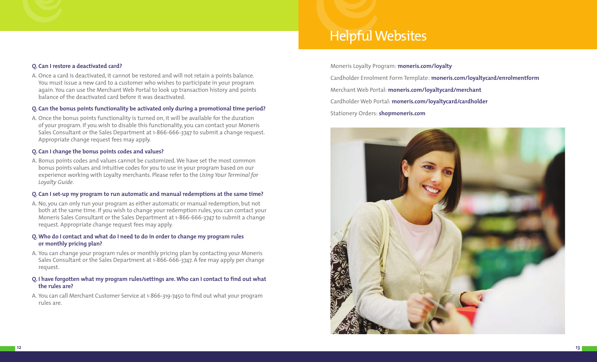# Helpful Websites

#### **Q. Can I restore a deactivated card?**

A. Once a card is deactivated, it cannot be restored and will not retain a points balance. You must issue a new card to a customer who wishes to participate in your program again. You can use the Merchant Web Portal to look up transaction history and points balance of the deactivated card before it was deactivated.

#### **Q. Can the bonus points functionality be activated only during a promotional time period?**

A. Once the bonus points functionality is turned on, it will be available for the duration of your program. If you wish to disable this functionality, you can contact your Moneris Sales Consultant or the Sales Department at 1-866-666-3747 to submit a change request. Appropriate change request fees may apply.

#### **Q. Can I change the bonus points codes and values?**

A. Bonus points codes and values cannot be customized. We have set the most common bonus points values and intuitive codes for you to use in your program based on our experience working with Loyalty merchants. Please refer to the *Using Your Terminal for Loyalty Guide*.

#### **Q. Can I set-up my program to run automatic and manual redemptions at the same time?**

A. No, you can only run your program as either automatic or manual redemption, but not both at the same time. If you wish to change your redemption rules, you can contact your Moneris Sales Consultant or the Sales Department at 1-866-666-3747 to submit a change request. Appropriate change request fees may apply.

#### **Q. Who do I contact and what do I need to do in order to change my program rules or monthly pricing plan?**

A. You can change your program rules or monthly pricing plan by contacting your Moneris Sales Consultant or the Sales Department at 1-866-666-3747. A fee may apply per change request.

#### **Q. I have forgotten what my program rules/settings are. Who can I contact to find out what the rules are?**

A. You can call Merchant Customer Service at 1-866-319-7450 to find out what your program rules are.

Moneris Loyalty Program: **moneris.com/loyalty** Cardholder Enrolment Form Template: **moneris.com/loyaltycard/enrolmentform** Merchant Web Portal: **moneris.com/loyaltycard/merchant** Cardholder Web Portal: **moneris.com/loyaltycard/cardholder** Stationery Orders: **shopmoneris.com**